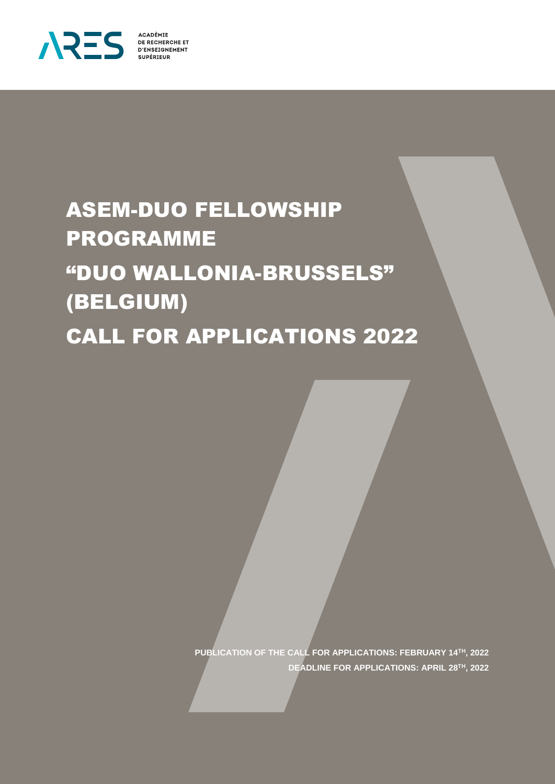

**ACADÉMIE<br>DE RECHERCHE ET D'ENSEIGNEMENT SUPÉRIEUR** 

# ASEM-DUO FELLOWSHIP PROGRAMME "DUO WALLONIA-BRUSSELS" (BELGIUM) CALL FOR APPLICATIONS 2022

**PUBLICATION OF THE CALL FOR APPLICATIONS: FEBRUARY 14TH, 2022 DEADLINE FOR APPLICATIONS: APRIL 28TH, 2022**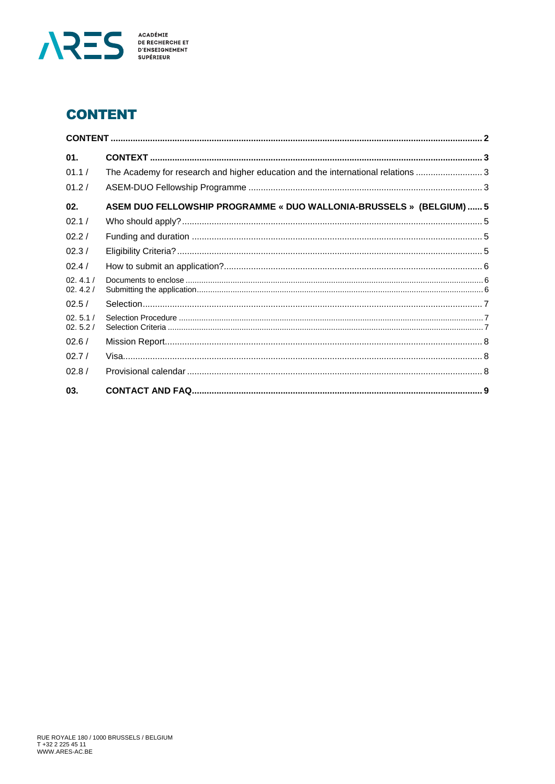

# <span id="page-1-0"></span>**CONTENT**

| 01.                |                                                                                  |  |  |
|--------------------|----------------------------------------------------------------------------------|--|--|
| 01.1/              | The Academy for research and higher education and the international relations  3 |  |  |
| 01.2/              |                                                                                  |  |  |
| 02.                | ASEM DUO FELLOWSHIP PROGRAMME « DUO WALLONIA-BRUSSELS » (BELGIUM)  5             |  |  |
| 02.1/              |                                                                                  |  |  |
| 02.2/              |                                                                                  |  |  |
| 02.3/              |                                                                                  |  |  |
| 02.4/              |                                                                                  |  |  |
| 02.4.1/<br>02.4.2/ |                                                                                  |  |  |
| 02.5/              |                                                                                  |  |  |
| 02.5.1/<br>02.5.2/ |                                                                                  |  |  |
| 02.6/              |                                                                                  |  |  |
| 02.7/              |                                                                                  |  |  |
| 02.8/              |                                                                                  |  |  |
| 03.                |                                                                                  |  |  |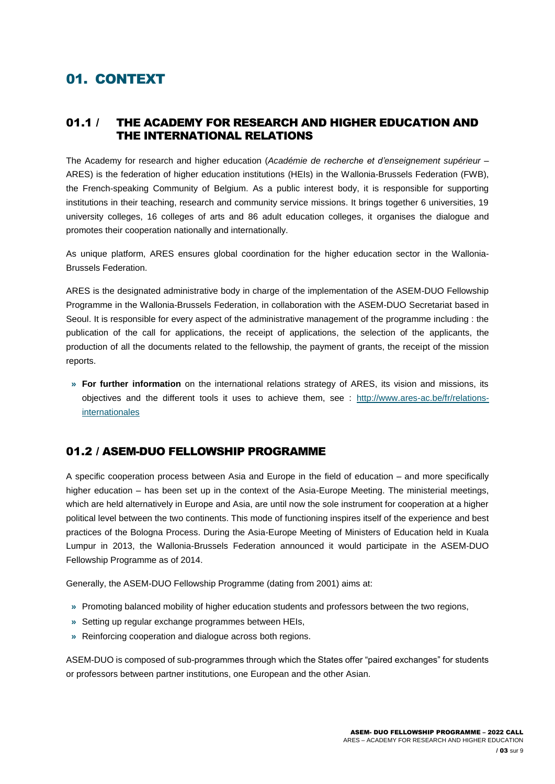# <span id="page-2-0"></span>01. CONTEXT

## <span id="page-2-1"></span>01.1 / THE ACADEMY FOR RESEARCH AND HIGHER EDUCATION AND THE INTERNATIONAL RELATIONS

The Academy for research and higher education (*Académie de recherche et d'enseignement supérieur* – ARES) is the federation of higher education institutions (HEIs) in the Wallonia-Brussels Federation (FWB), the French-speaking Community of Belgium. As a public interest body, it is responsible for supporting institutions in their teaching, research and community service missions. It brings together 6 universities, 19 university colleges, 16 colleges of arts and 86 adult education colleges, it organises the dialogue and promotes their cooperation nationally and internationally.

As unique platform, ARES ensures global coordination for the higher education sector in the Wallonia-Brussels Federation.

ARES is the designated administrative body in charge of the implementation of the ASEM-DUO Fellowship Programme in the Wallonia-Brussels Federation, in collaboration with the ASEM-DUO Secretariat based in Seoul. It is responsible for every aspect of the administrative management of the programme including : the publication of the call for applications, the receipt of applications, the selection of the applicants, the production of all the documents related to the fellowship, the payment of grants, the receipt of the mission reports.

**» For further information** on the international relations strategy of ARES, its vision and missions, its objectives and the different tools it uses to achieve them, see : [http://www.ares-ac.be/fr/relations](http://www.ares-ac.be/fr/relations-internationales)[internationales](http://www.ares-ac.be/fr/relations-internationales)

# <span id="page-2-2"></span>01.2 / ASEM-DUO FELLOWSHIP PROGRAMME

A specific cooperation process between Asia and Europe in the field of education – and more specifically higher education – has been set up in the context of the Asia-Europe Meeting. The ministerial meetings, which are held alternatively in Europe and Asia, are until now the sole instrument for cooperation at a higher political level between the two continents. This mode of functioning inspires itself of the experience and best practices of the Bologna Process. During the Asia-Europe Meeting of Ministers of Education held in Kuala Lumpur in 2013, the Wallonia-Brussels Federation announced it would participate in the ASEM-DUO Fellowship Programme as of 2014.

Generally, the ASEM-DUO Fellowship Programme (dating from 2001) aims at:

- **»** Promoting balanced mobility of higher education students and professors between the two regions,
- **»** Setting up regular exchange programmes between HEIs,
- **»** Reinforcing cooperation and dialogue across both regions.

ASEM-DUO is composed of sub-programmes through which the States offer "paired exchanges" for students or professors between partner institutions, one European and the other Asian.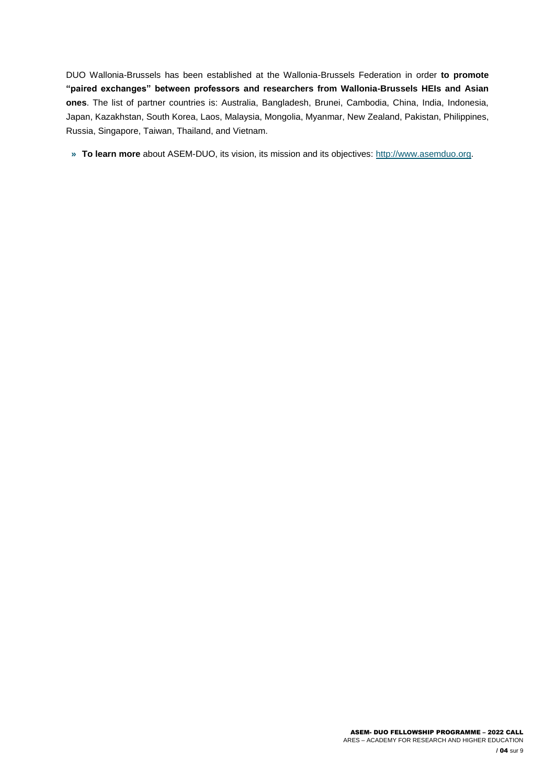DUO Wallonia-Brussels has been established at the Wallonia-Brussels Federation in order **to promote "paired exchanges" between professors and researchers from Wallonia-Brussels HEIs and Asian ones**. The list of partner countries is: Australia, Bangladesh, Brunei, Cambodia, China, India, Indonesia, Japan, Kazakhstan, South Korea, Laos, Malaysia, Mongolia, Myanmar, New Zealand, Pakistan, Philippines, Russia, Singapore, Taiwan, Thailand, and Vietnam.

**» To learn more** about ASEM-DUO, its vision, its mission and its objectives: [http://www.asemduo.org.](http://www.asemduo.org/)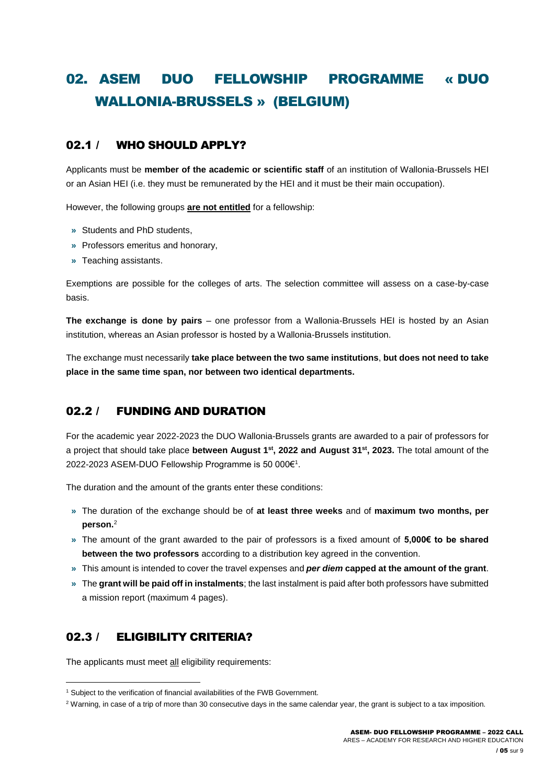# <span id="page-4-0"></span>02. ASEM DUO FELLOWSHIP PROGRAMME « DUO WALLONIA-BRUSSELS » (BELGIUM)

# <span id="page-4-1"></span>02.1 / WHO SHOULD APPLY?

Applicants must be **member of the academic or scientific staff** of an institution of Wallonia-Brussels HEI or an Asian HEI (i.e. they must be remunerated by the HEI and it must be their main occupation).

However, the following groups **are not entitled** for a fellowship:

- **»** Students and PhD students,
- **»** Professors emeritus and honorary,
- **»** Teaching assistants.

Exemptions are possible for the colleges of arts. The selection committee will assess on a case-by-case basis.

**The exchange is done by pairs** – one professor from a Wallonia-Brussels HEI is hosted by an Asian institution, whereas an Asian professor is hosted by a Wallonia-Brussels institution.

The exchange must necessarily **take place between the two same institutions**, **but does not need to take place in the same time span, nor between two identical departments.**

# <span id="page-4-2"></span>02.2 / FUNDING AND DURATION

For the academic year 2022-2023 the DUO Wallonia-Brussels grants are awarded to a pair of professors for a project that should take place **between August 1 st , 2022 and August 31st , 2023.** The total amount of the 2022-2023 ASEM-DUO Fellowship Programme is 50 000€<sup>1</sup>.

The duration and the amount of the grants enter these conditions:

- **»** The duration of the exchange should be of **at least three weeks** and of **maximum two months, per person.**<sup>2</sup>
- **»** The amount of the grant awarded to the pair of professors is a fixed amount of **5,000€ to be shared between the two professors** according to a distribution key agreed in the convention.
- **»** This amount is intended to cover the travel expenses and *per diem* **capped at the amount of the grant**.
- <span id="page-4-3"></span>**»** The **grant will be paid off in instalments**; the last instalment is paid after both professors have submitted a mission report (maximum 4 pages).

# 02.3 / ELIGIBILITY CRITERIA?

l

The applicants must meet all eligibility requirements:

<sup>&</sup>lt;sup>1</sup> Subject to the verification of financial availabilities of the FWB Government.

<sup>&</sup>lt;sup>2</sup> Warning, in case of a trip of more than 30 consecutive days in the same calendar year, the grant is subject to a tax imposition.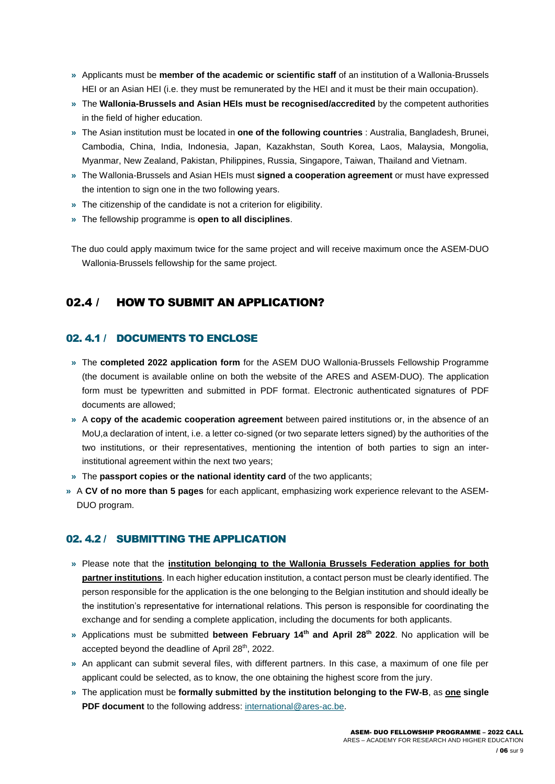- **»** Applicants must be **member of the academic or scientific staff** of an institution of a Wallonia-Brussels HEI or an Asian HEI (i.e. they must be remunerated by the HEI and it must be their main occupation).
- **»** The **Wallonia-Brussels and Asian HEIs must be recognised/accredited** by the competent authorities in the field of higher education.
- **»** The Asian institution must be located in **one of the following countries** : Australia, Bangladesh, Brunei, Cambodia, China, India, Indonesia, Japan, Kazakhstan, South Korea, Laos, Malaysia, Mongolia, Myanmar, New Zealand, Pakistan, Philippines, Russia, Singapore, Taiwan, Thailand and Vietnam.
- **»** The Wallonia-Brussels and Asian HEIs must **signed a cooperation agreement** or must have expressed the intention to sign one in the two following years.
- **»** The citizenship of the candidate is not a criterion for eligibility.
- **»** The fellowship programme is **open to all disciplines**.

<span id="page-5-0"></span>The duo could apply maximum twice for the same project and will receive maximum once the ASEM-DUO Wallonia-Brussels fellowship for the same project.

## 02.4 / HOW TO SUBMIT AN APPLICATION?

#### <span id="page-5-1"></span>02. 4.1 / DOCUMENTS TO ENCLOSE

- **»** The **completed 2022 application form** for the ASEM DUO Wallonia-Brussels Fellowship Programme (the document is available online on both the website of the ARES and ASEM-DUO). The application form must be typewritten and submitted in PDF format. Electronic authenticated signatures of PDF documents are allowed;
- **»** A **copy of the academic cooperation agreement** between paired institutions or, in the absence of an MoU,a declaration of intent, i.e. a letter co-signed (or two separate letters signed) by the authorities of the two institutions, or their representatives, mentioning the intention of both parties to sign an interinstitutional agreement within the next two years;
- **»** The **passport copies or the national identity card** of the two applicants;
- **»** A **CV of no more than 5 pages** for each applicant, emphasizing work experience relevant to the ASEM-DUO program.

#### <span id="page-5-2"></span>02. 4.2 / SUBMITTING THE APPLICATION

- **»** Please note that the **institution belonging to the Wallonia Brussels Federation applies for both partner institutions**. In each higher education institution, a contact person must be clearly identified. The person responsible for the application is the one belonging to the Belgian institution and should ideally be the institution's representative for international relations. This person is responsible for coordinating the exchange and for sending a complete application, including the documents for both applicants.
- **»** Applications must be submitted **between February 14th and April 28th 2022**. No application will be accepted beyond the deadline of April 28<sup>th</sup>, 2022.
- **»** An applicant can submit several files, with different partners. In this case, a maximum of one file per applicant could be selected, as to know, the one obtaining the highest score from the jury.
- **»** The application must be **formally submitted by the institution belonging to the FW-B**, as **one single PDF document** to the following address[: international@ares-ac.be.](mailto:international@ares-ac.be)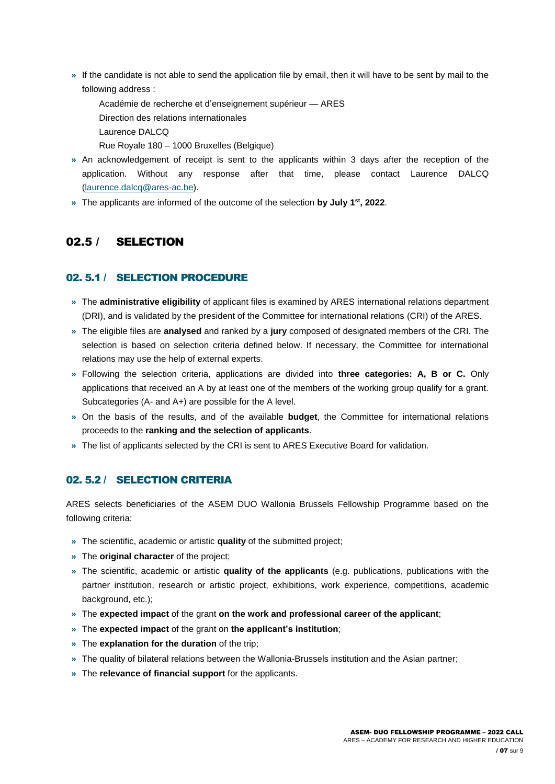- **»** If the candidate is not able to send the application file by email, then it will have to be sent by mail to the following address :
	- Académie de recherche et d'enseignement supérieur ARES

Direction des relations internationales

- Laurence DALCQ
- Rue Royale 180 1000 Bruxelles (Belgique)
- **»** An acknowledgement of receipt is sent to the applicants within 3 days after the reception of the application. Without any response after that time, please contact Laurence DALCQ [\(laurence.dalcq@ares-ac.be\)](mailto:elodie.decostre@ares-ac.be).
- <span id="page-6-0"></span>**»** The applicants are informed of the outcome of the selection **by July 1 st , 2022**.

# 02.5 / SELECTION

#### <span id="page-6-1"></span>02. 5.1 / SELECTION PROCEDURE

- **»** The **administrative eligibility** of applicant files is examined by ARES international relations department (DRI), and is validated by the president of the Committee for international relations (CRI) of the ARES.
- **»** The eligible files are **analysed** and ranked by a **jury** composed of designated members of the CRI. The selection is based on selection criteria defined below. If necessary, the Committee for international relations may use the help of external experts.
- **»** Following the selection criteria, applications are divided into **three categories: A, B or C.** Only applications that received an A by at least one of the members of the working group qualify for a grant. Subcategories (A- and A+) are possible for the A level.
- **»** On the basis of the results, and of the available **budget**, the Committee for international relations proceeds to the **ranking and the selection of applicants**.
- <span id="page-6-2"></span>**»** The list of applicants selected by the CRI is sent to ARES Executive Board for validation.

## 02. 5.2 / SELECTION CRITERIA

ARES selects beneficiaries of the ASEM DUO Wallonia Brussels Fellowship Programme based on the following criteria:

- **»** The scientific, academic or artistic **quality** of the submitted project;
- **»** The **original character** of the project;
- **»** The scientific, academic or artistic **quality of the applicants** (e.g. publications, publications with the partner institution, research or artistic project, exhibitions, work experience, competitions, academic background, etc.);
- **»** The **expected impact** of the grant **on the work and professional career of the applicant**;
- **»** The **expected impact** of the grant on **the applicant's institution**;
- **»** The **explanation for the duration** of the trip;
- **»** The quality of bilateral relations between the Wallonia-Brussels institution and the Asian partner;
- **»** The **relevance of financial support** for the applicants.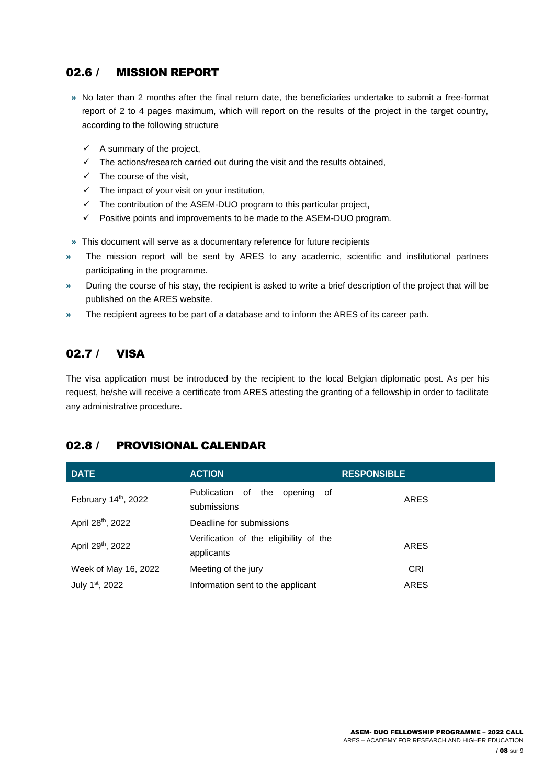# <span id="page-7-0"></span>02.6 / MISSION REPORT

- **»** No later than 2 months after the final return date, the beneficiaries undertake to submit a free-format report of 2 to 4 pages maximum, which will report on the results of the project in the target country, according to the following structure
	- $\checkmark$  A summary of the project,
	- $\checkmark$  The actions/research carried out during the visit and the results obtained,
	- $\checkmark$  The course of the visit,
	- $\checkmark$  The impact of your visit on your institution.
	- $\checkmark$  The contribution of the ASEM-DUO program to this particular project.
	- $\checkmark$  Positive points and improvements to be made to the ASEM-DUO program.
- **»** This document will serve as a documentary reference for future recipients
- **»** The mission report will be sent by ARES to any academic, scientific and institutional partners participating in the programme.
- **»** During the course of his stay, the recipient is asked to write a brief description of the project that will be published on the ARES website.
- <span id="page-7-1"></span>**»** The recipient agrees to be part of a database and to inform the ARES of its career path.

## 02.7 / VISA

The visa application must be introduced by the recipient to the local Belgian diplomatic post. As per his request, he/she will receive a certificate from ARES attesting the granting of a fellowship in order to facilitate any administrative procedure.

## <span id="page-7-2"></span>02.8 / PROVISIONAL CALENDAR

| <b>DATE</b>                 | <b>ACTION</b>                                        | <b>RESPONSIBLE</b> |
|-----------------------------|------------------------------------------------------|--------------------|
| February 14th, 2022         | Publication of<br>the<br>opening of<br>submissions   | ARES               |
| April 28th, 2022            | Deadline for submissions                             |                    |
| April 29th, 2022            | Verification of the eligibility of the<br>applicants | <b>ARES</b>        |
| Week of May 16, 2022        | Meeting of the jury                                  | CRI                |
| July 1 <sup>st</sup> , 2022 | Information sent to the applicant                    | <b>ARES</b>        |